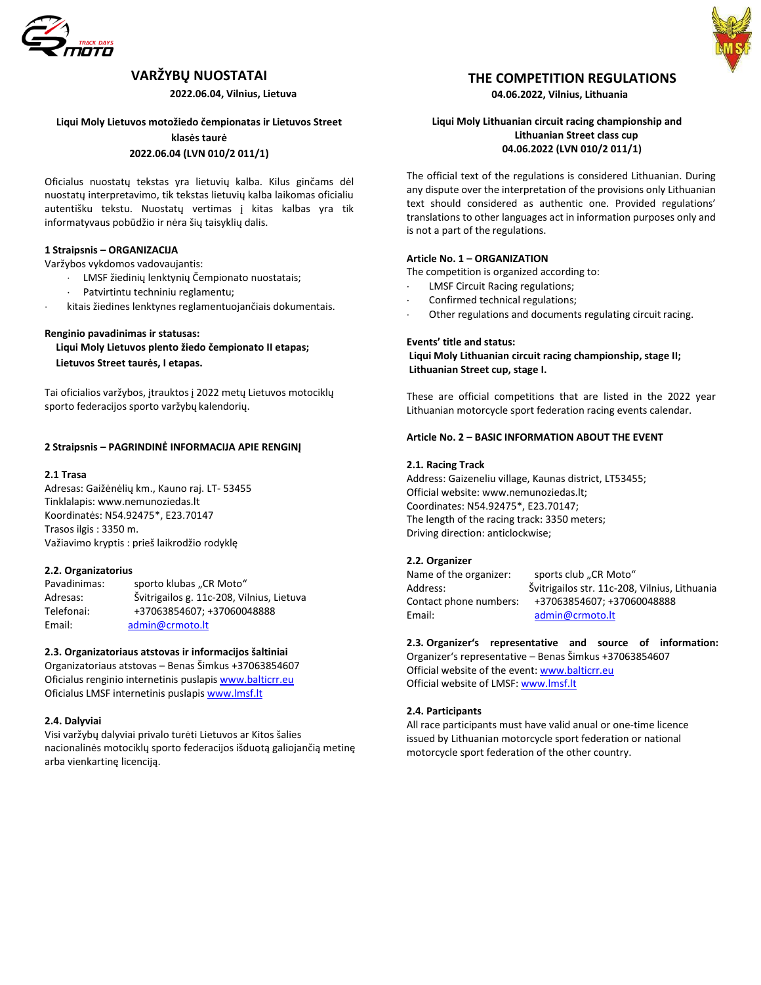

# **VARŽYBŲ NUOSTATAI**

 **2022.06.04, Vilnius, Lietuva**

## **Liqui Moly Lietuvos motožiedo čempionatas ir Lietuvos Street klasės taurė 2022.06.04 (LVN 010/2 011/1)**

Oficialus nuostatų tekstas yra lietuvių kalba. Kilus ginčams dėl nuostatų interpretavimo, tik tekstas lietuvių kalba laikomas oficialiu autentišku tekstu. Nuostatų vertimas į kitas kalbas yra tik informatyvaus pobūdžio ir nėra šių taisyklių dalis.

## **1 Straipsnis – ORGANIZACIJA**

Varžybos vykdomos vadovaujantis:

LMSF [žiedinių lenktynių Čempionato nuostatai](http://lmsf.lt/sites/default/files/inline-files/Plento%20%C5%BEiedo%20nuostatai%202022%20v2.pdf)s;

- Patvirtintu techniniu reglamentu;
- kitais žiedines lenktynes reglamentuojančiais dokumentais.

## **Renginio pavadinimas ir statusas:**

**Liqui Moly Lietuvos plento žiedo čempionato II etapas; Lietuvos Street taurės, I etapas.**

Tai oficialios varžybos, įtrauktos į 2022 metų Lietuvos motociklų sporto federacijos sporto varžybų kalendorių.

## **2 Straipsnis – PAGRINDINĖ INFORMACIJA APIE RENGINĮ**

#### **2.1 Trasa**

Adresas: Gaižėnėlių km., Kauno raj. LT- 53455 Tinklalapi[s: www.nemunoziedas.lt](http://www.nemunoziedas.lt/) Koordinatės: N54.92475\*, E23.70147 Trasos ilgis : 3350 m. Važiavimo kryptis : prieš laikrodžio rodyklę

## **2.2. Organizatorius**

Pavadinimas: sporto klubas "CR Moto" Adresas: Švitrigailos g. 11c-208, Vilnius, Lietuva Telefonai: +37063854607; +37060048888 Email: [admin@crmoto.lt](mailto:admin@crmoto.lt)

## **2.3. Organizatoriaus atstovas ir informacijos šaltiniai**

Organizatoriaus atstovas – Benas Šimkus +37063854607 Oficialus renginio internetinis puslapi[s www.balticrr.eu](http://www.balticrr.eu/) Oficialus LMSF internetinis puslapis [www.lmsf.lt](http://www.lmsf.lt/)

## **2.4. Dalyviai**

Visi varžybų dalyviai privalo turėti Lietuvos ar Kitos šalies nacionalinės motociklų sporto federacijos išduotą galiojančią metinę arba vienkartinę licenciją.

# **THE COMPETITION REGULATIONS**

**04.06.2022, Vilnius, Lithuania**

## **Liqui Moly Lithuanian circuit racing championship and Lithuanian Street class cup 04.06.2022 (LVN 010/2 011/1)**

The official text of the regulations is considered Lithuanian. During any dispute over the interpretation of the provisions only Lithuanian text should considered as authentic one. Provided regulations' translations to other languages act in information purposes only and is not a part of the regulations.

#### **Article No. 1 – ORGANIZATION**

The competition is organized according to:

- LMSF Circuit Racing regulations;
- Confirmed technical regulations;
- Other regulations and documents regulating circuit racing.

#### **Events' title and status:**

**Liqui Moly Lithuanian circuit racing championship, stage II; Lithuanian Street cup, stage I.**

These are official competitions that are listed in the 2022 year Lithuanian motorcycle sport federation racing events calendar.

## **Article No. 2 – BASIC INFORMATION ABOUT THE EVENT**

#### **2.1. Racing Track**

Address: Gaizeneliu village, Kaunas district, LT53455; Official website: www.nemunoziedas.lt; Coordinates: N54.92475\*, E23.70147; The length of the racing track: 3350 meters; Driving direction: anticlockwise;

## **2.2. Organizer**

Name of the organizer: sports club "CR Moto" Address: Švitrigailos str. 11c-208, Vilnius, Lithuania Contact phone numbers: +37063854607; +37060048888 Email: [admin@crmoto.lt](mailto:admin@crmoto.lt)

## **2.3. Organizer's representative and source of information:**

Organizer's representative – Benas Šimkus +37063854607 Official website of the event: [www.balticrr.eu](http://www.balticrr.eu/) Official website of LMSF[: www.lmsf.lt](http://www.lmsf.lt/)

## **2.4. Participants**

All race participants must have valid anual or one-time licence issued by Lithuanian motorcycle sport federation or national motorcycle sport federation of the other country.